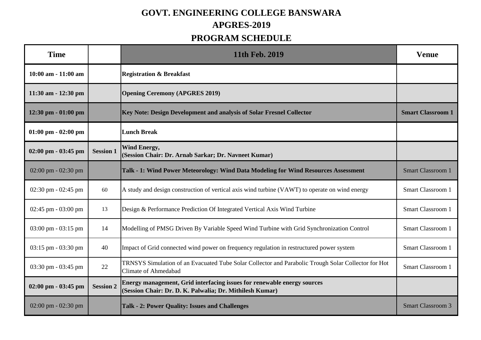## **GOVT. ENGINEERING COLLEGE BANSWARA APGRES-2019**

## **PROGRAM SCHEDULE**

| <b>Time</b>                           |                  | 11th Feb. 2019                                                                                                                      | <b>Venue</b>             |
|---------------------------------------|------------------|-------------------------------------------------------------------------------------------------------------------------------------|--------------------------|
| 10:00 am - 11:00 am                   |                  | <b>Registration &amp; Breakfast</b>                                                                                                 |                          |
| $11:30$ am $-12:30$ pm                |                  | <b>Opening Ceremony (APGRES 2019)</b>                                                                                               |                          |
| 12:30 pm - 01:00 pm                   |                  | Key Note: Design Development and analysis of Solar Fresnel Collector                                                                | <b>Smart Classroom 1</b> |
| $01:00 \text{ pm} - 02:00 \text{ pm}$ |                  | <b>Lunch Break</b>                                                                                                                  |                          |
| $02:00 \text{ pm} - 03:45 \text{ pm}$ | <b>Session 1</b> | <b>Wind Energy,</b><br>(Session Chair: Dr. Arnab Sarkar; Dr. Navneet Kumar)                                                         |                          |
| $02:00$ pm - $02:30$ pm               |                  | Talk - 1: Wind Power Meteorology: Wind Data Modeling for Wind Resources Assessment                                                  | <b>Smart Classroom 1</b> |
| $02:30$ pm - $02:45$ pm               | 60               | A study and design construction of vertical axis wind turbine (VAWT) to operate on wind energy                                      | Smart Classroom 1        |
| $02:45$ pm - $03:00$ pm               | 13               | Design & Performance Prediction Of Integrated Vertical Axis Wind Turbine                                                            | <b>Smart Classroom 1</b> |
| $03:00 \text{ pm} - 03:15 \text{ pm}$ | 14               | Modelling of PMSG Driven By Variable Speed Wind Turbine with Grid Synchronization Control                                           | <b>Smart Classroom 1</b> |
| $03:15$ pm - $03:30$ pm               | 40               | Impact of Grid connected wind power on frequency regulation in restructured power system                                            | <b>Smart Classroom 1</b> |
| 03:30 pm - 03:45 pm                   | 22               | TRNSYS Simulation of an Evacuated Tube Solar Collector and Parabolic Trough Solar Collector for Hot<br><b>Climate of Ahmedabad</b>  | <b>Smart Classroom 1</b> |
| $02:00$ pm - $03:45$ pm               | <b>Session 2</b> | Energy management, Grid interfacing issues for renewable energy sources<br>(Session Chair: Dr. D. K. Palwalia; Dr. Mithilesh Kumar) |                          |
| $02:00$ pm - $02:30$ pm               |                  | Talk - 2: Power Quality: Issues and Challenges                                                                                      | <b>Smart Classroom 3</b> |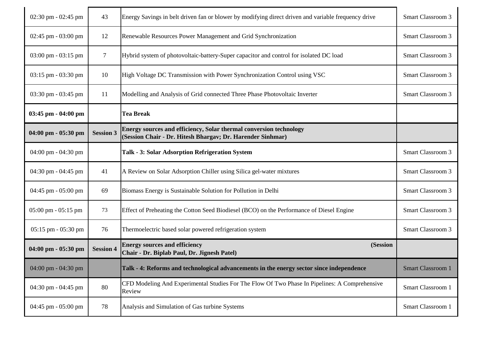| 02:30 pm - 02:45 pm                   | 43               | Energy Savings in belt driven fan or blower by modifying direct driven and variable frequency drive                              | <b>Smart Classroom 3</b> |
|---------------------------------------|------------------|----------------------------------------------------------------------------------------------------------------------------------|--------------------------|
| $02:45$ pm - $03:00$ pm               | 12               | Renewable Resources Power Management and Grid Synchronization                                                                    | <b>Smart Classroom 3</b> |
| 03:00 pm - 03:15 pm                   | $\overline{7}$   | Hybrid system of photovoltaic-battery-Super capacitor and control for isolated DC load                                           | <b>Smart Classroom 3</b> |
| 03:15 pm - 03:30 pm                   | 10               | High Voltage DC Transmission with Power Synchronization Control using VSC                                                        | Smart Classroom 3        |
| $03:30$ pm - $03:45$ pm               | 11               | Modelling and Analysis of Grid connected Three Phase Photovoltaic Inverter                                                       | <b>Smart Classroom 3</b> |
| 03:45 pm - 04:00 pm                   |                  | <b>Tea Break</b>                                                                                                                 |                          |
| 04:00 pm - 05:30 pm                   | <b>Session 3</b> | Energy sources and efficiency, Solar thermal conversion technology<br>(Session Chair - Dr. Hitesh Bhargav; Dr. Harender Sinhmar) |                          |
| 04:00 pm - 04:30 pm                   |                  | Talk - 3: Solar Adsorption Refrigeration System                                                                                  | <b>Smart Classroom 3</b> |
|                                       |                  |                                                                                                                                  |                          |
| 04:30 pm - 04:45 pm                   | 41               | A Review on Solar Adsorption Chiller using Silica gel-water mixtures                                                             | <b>Smart Classroom 3</b> |
| 04:45 pm - 05:00 pm                   | 69               | Biomass Energy is Sustainable Solution for Pollution in Delhi                                                                    | <b>Smart Classroom 3</b> |
| $05:00 \text{ pm} - 05:15 \text{ pm}$ | 73               | Effect of Preheating the Cotton Seed Biodiesel (BCO) on the Performance of Diesel Engine                                         | Smart Classroom 3        |
| $05:15$ pm - $05:30$ pm               | 76               | Thermoelectric based solar powered refrigeration system                                                                          | Smart Classroom 3        |
| 04:00 pm - 05:30 pm                   | <b>Session 4</b> | <b>Energy sources and efficiency</b><br>(Session<br>Chair - Dr. Biplab Paul, Dr. Jignesh Patel)                                  |                          |
| 04:00 pm - 04:30 pm                   |                  | Talk - 4: Reforms and technological advancements in the energy sector since independence                                         | <b>Smart Classroom 1</b> |
| 04:30 pm - 04:45 pm                   | 80               | CFD Modeling And Experimental Studies For The Flow Of Two Phase In Pipelines: A Comprehensive<br>Review                          | Smart Classroom 1        |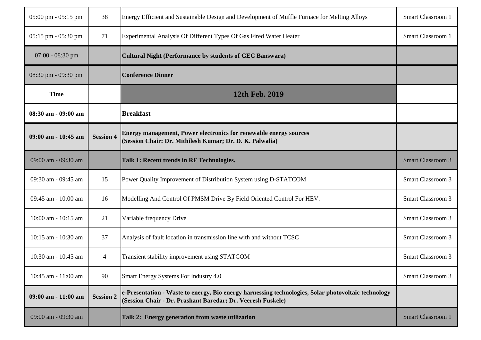| $05:00 \text{ pm} - 05:15 \text{ pm}$ | 38               | Energy Efficient and Sustainable Design and Development of Muffle Furnace for Melting Alloys                                                                       | Smart Classroom 1        |
|---------------------------------------|------------------|--------------------------------------------------------------------------------------------------------------------------------------------------------------------|--------------------------|
| 05:15 pm - 05:30 pm                   | 71               | Experimental Analysis Of Different Types Of Gas Fired Water Heater                                                                                                 | Smart Classroom 1        |
| $07:00 - 08:30$ pm                    |                  | <b>Cultural Night (Performance by students of GEC Banswara)</b>                                                                                                    |                          |
| 08:30 pm - 09:30 pm                   |                  | <b>Conference Dinner</b>                                                                                                                                           |                          |
| <b>Time</b>                           |                  | 12th Feb. 2019                                                                                                                                                     |                          |
| 08:30 am - 09:00 am                   |                  | <b>Breakfast</b>                                                                                                                                                   |                          |
| 09:00 am - 10:45 am                   | <b>Session 4</b> | Energy management, Power electronics for renewable energy sources<br>(Session Chair: Dr. Mithilesh Kumar; Dr. D. K. Palwalia)                                      |                          |
| 09:00 am - 09:30 am                   |                  | Talk 1: Recent trends in RF Technologies.                                                                                                                          | <b>Smart Classroom 3</b> |
| 09:30 am - 09:45 am                   | 15               | Power Quality Improvement of Distribution System using D-STATCOM                                                                                                   | <b>Smart Classroom 3</b> |
| 09:45 am - 10:00 am                   | 16               | Modelling And Control Of PMSM Drive By Field Oriented Control For HEV.                                                                                             | <b>Smart Classroom 3</b> |
| 10:00 am - 10:15 am                   | 21               | Variable frequency Drive                                                                                                                                           | <b>Smart Classroom 3</b> |
| 10:15 am - 10:30 am                   | 37               | Analysis of fault location in transmission line with and without TCSC                                                                                              | <b>Smart Classroom 3</b> |
|                                       |                  |                                                                                                                                                                    |                          |
| 10:30 am - 10:45 am                   | $\overline{4}$   | Transient stability improvement using STATCOM                                                                                                                      | Smart Classroom 3        |
| 10:45 am - 11:00 am                   | 90               | Smart Energy Systems For Industry 4.0                                                                                                                              | Smart Classroom 3        |
| 09:00 am - 11:00 am                   | <b>Session 2</b> | e-Presentation - Waste to energy, Bio energy harnessing technologies, Solar photovoltaic technology<br>(Session Chair - Dr. Prashant Baredar; Dr. Veeresh Fuskele) |                          |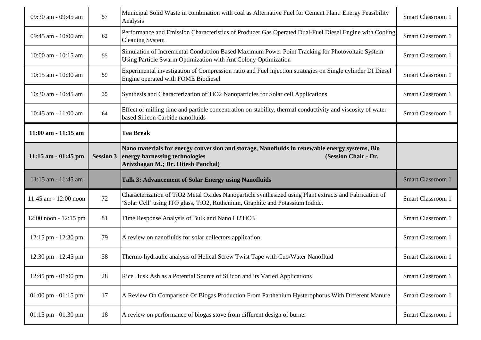| 09:30 am - 09:45 am                   | 57               | Municipal Solid Waste in combination with coal as Alternative Fuel for Cement Plant: Energy Feasibility<br>Analysis                                                                           | Smart Classroom 1        |
|---------------------------------------|------------------|-----------------------------------------------------------------------------------------------------------------------------------------------------------------------------------------------|--------------------------|
| 09:45 am - 10:00 am                   | 62               | Performance and Emission Characteristics of Producer Gas Operated Dual-Fuel Diesel Engine with Cooling<br><b>Cleaning System</b>                                                              | Smart Classroom 1        |
| 10:00 am - 10:15 am                   | 55               | Simulation of Incremental Conduction Based Maximum Power Point Tracking for Photovoltaic System<br>Using Particle Swarm Optimization with Ant Colony Optimization                             | Smart Classroom 1        |
| 10:15 am - 10:30 am                   | 59               | Experimental investigation of Compression ratio and Fuel injection strategies on Single cylinder DI Diesel<br>Engine operated with FOME Biodiesel                                             | Smart Classroom 1        |
| 10:30 am - 10:45 am                   | 35               | Synthesis and Characterization of TiO2 Nanoparticles for Solar cell Applications                                                                                                              | Smart Classroom 1        |
| 10:45 am - 11:00 am                   | 64               | Effect of milling time and particle concentration on stability, thermal conductivity and viscosity of water-<br>based Silicon Carbide nanofluids                                              | Smart Classroom 1        |
| 11:00 am - 11:15 am                   |                  | <b>Tea Break</b>                                                                                                                                                                              |                          |
| 11:15 am - 01:45 pm                   | <b>Session 3</b> | Nano materials for energy conversion and storage, Nanofluids in renewable energy systems, Bio<br>energy harnessing technologies<br>(Session Chair - Dr.<br>Arivzhagan M.; Dr. Hitesh Panchal) |                          |
|                                       |                  |                                                                                                                                                                                               |                          |
| 11:15 am - 11:45 am                   |                  | <b>Talk 3: Advancement of Solar Energy using Nanofluids</b>                                                                                                                                   | <b>Smart Classroom 1</b> |
| 11:45 am - 12:00 noon                 | 72               | Characterization of TiO2 Metal Oxides Nanoparticle synthesized using Plant extracts and Fabrication of<br>Solar Cell' using ITO glass, TiO2, Ruthenium, Graphite and Potassium Iodide.        | Smart Classroom 1        |
| $12:00$ noon - $12:15$ pm             | 81               | Time Response Analysis of Bulk and Nano Li2TiO3                                                                                                                                               | Smart Classroom 1        |
| 12:15 pm - 12:30 pm                   | 79               | A review on nanofluids for solar collectors application                                                                                                                                       | Smart Classroom 1        |
| 12:30 pm - 12:45 pm                   | 58               | Thermo-hydraulic analysis of Helical Screw Twist Tape with Cuo/Water Nanofluid                                                                                                                | Smart Classroom 1        |
| 12:45 pm - 01:00 pm                   | 28               | Rice Husk Ash as a Potential Source of Silicon and its Varied Applications                                                                                                                    | Smart Classroom 1        |
| $01:00 \text{ pm} - 01:15 \text{ pm}$ | 17               | A Review On Comparison Of Biogas Production From Parthenium Hysterophorus With Different Manure                                                                                               | Smart Classroom 1        |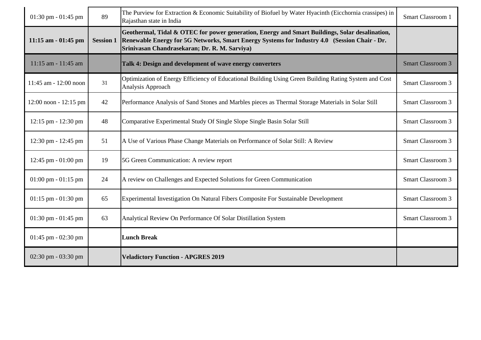| 01:30 pm - 01:45 pm                   | 89               | The Purview for Extraction & Economic Suitability of Biofuel by Water Hyacinth (Eicchornia crassipes) in<br>Rajasthan state in India                                                                                                            | Smart Classroom 1        |
|---------------------------------------|------------------|-------------------------------------------------------------------------------------------------------------------------------------------------------------------------------------------------------------------------------------------------|--------------------------|
| 11:15 am - 01:45 pm                   | <b>Session 1</b> | Geothermal, Tidal & OTEC for power generation, Energy and Smart Buildings, Solar desalination,<br>Renewable Energy for 5G Networks, Smart Energy Systems for Industry 4.0 (Session Chair - Dr.<br>Srinivasan Chandrasekaran; Dr. R. M. Sarviya) |                          |
| 11:15 am - 11:45 am                   |                  | Talk 4: Design and development of wave energy converters                                                                                                                                                                                        | <b>Smart Classroom 3</b> |
| 11:45 am - 12:00 noon                 | 31               | Optimization of Energy Efficiency of Educational Building Using Green Building Rating System and Cost<br>Analysis Approach                                                                                                                      | <b>Smart Classroom 3</b> |
| 12:00 noon - 12:15 pm                 | 42               | Performance Analysis of Sand Stones and Marbles pieces as Thermal Storage Materials in Solar Still                                                                                                                                              | <b>Smart Classroom 3</b> |
| 12:15 pm - 12:30 pm                   | 48               | Comparative Experimental Study Of Single Slope Single Basin Solar Still                                                                                                                                                                         | <b>Smart Classroom 3</b> |
| 12:30 pm - 12:45 pm                   | 51               | A Use of Various Phase Change Materials on Performance of Solar Still: A Review                                                                                                                                                                 | <b>Smart Classroom 3</b> |
| 12:45 pm - 01:00 pm                   | 19               | 5G Green Communication: A review report                                                                                                                                                                                                         | <b>Smart Classroom 3</b> |
| $01:00 \text{ pm} - 01:15 \text{ pm}$ | 24               | A review on Challenges and Expected Solutions for Green Communication                                                                                                                                                                           | <b>Smart Classroom 3</b> |
| $01:15$ pm $-01:30$ pm                | 65               | Experimental Investigation On Natural Fibers Composite For Sustainable Development                                                                                                                                                              | Smart Classroom 3        |
| 01:30 pm - 01:45 pm                   | 63               | Analytical Review On Performance Of Solar Distillation System                                                                                                                                                                                   | <b>Smart Classroom 3</b> |
| $01:45$ pm - $02:30$ pm               |                  | <b>Lunch Break</b>                                                                                                                                                                                                                              |                          |
| 02:30 pm - 03:30 pm                   |                  | <b>Veladictory Function - APGRES 2019</b>                                                                                                                                                                                                       |                          |